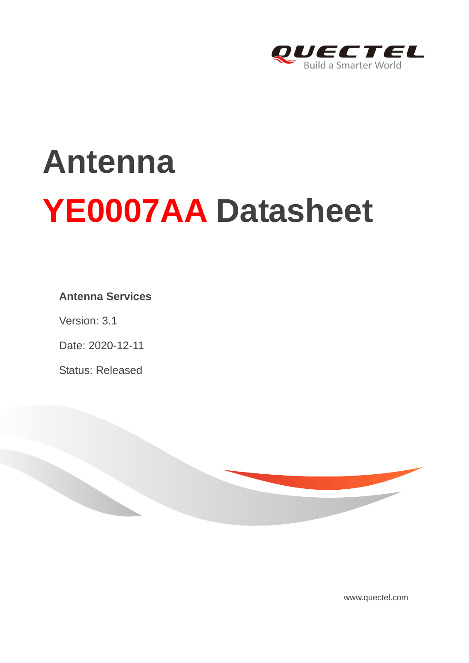

# **Antenna YE0007AA Datasheet**

#### **Antenna Services**

Version: 3.1

Date: 2020-12-11

Status: Released



[www.quectel.com](http://www.quectel.com/)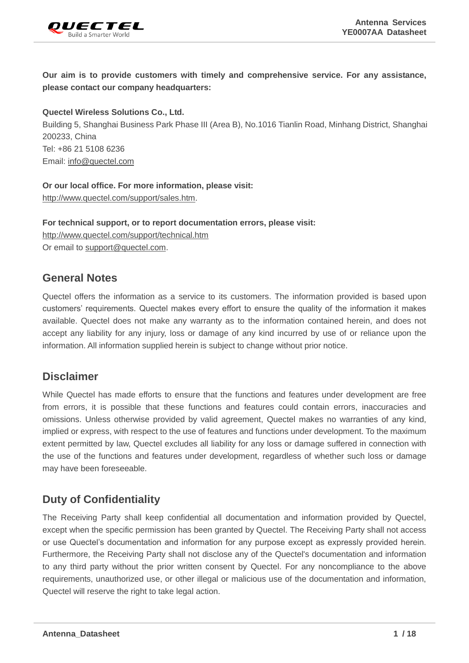

**Our aim is to provide customers with timely and comprehensive service. For any assistance, please contact our company headquarters:**

**Quectel Wireless Solutions Co., Ltd.** 

Building 5, Shanghai Business Park Phase III (Area B), No.1016 Tianlin Road, Minhang District, Shanghai 200233, China Tel: +86 21 5108 6236 Email: [info@quectel.com](mailto:info@quectel.com)

**Or our local office. For more information, please visit:** [http://www.quectel.com/support/sales.htm.](http://www.quectel.com/support/sales.htm)

**For technical support, or to report documentation errors, please visit:**  <http://www.quectel.com/support/technical.htm> Or email to [support@quectel.com.](mailto:support@quectel.com)

#### **General Notes**

Quectel offers the information as a service to its customers. The information provided is based upon customers' requirements. Quectel makes every effort to ensure the quality of the information it makes available. Quectel does not make any warranty as to the information contained herein, and does not accept any liability for any injury, loss or damage of any kind incurred by use of or reliance upon the information. All information supplied herein is subject to change without prior notice.

#### **Disclaimer**

While Quectel has made efforts to ensure that the functions and features under development are free from errors, it is possible that these functions and features could contain errors, inaccuracies and omissions. Unless otherwise provided by valid agreement, Quectel makes no warranties of any kind, implied or express, with respect to the use of features and functions under development. To the maximum extent permitted by law, Quectel excludes all liability for any loss or damage suffered in connection with the use of the functions and features under development, regardless of whether such loss or damage may have been foreseeable.

#### **Duty of Confidentiality**

The Receiving Party shall keep confidential all documentation and information provided by Quectel, except when the specific permission has been granted by Quectel. The Receiving Party shall not access or use Quectel's documentation and information for any purpose except as expressly provided herein. Furthermore, the Receiving Party shall not disclose any of the Quectel's documentation and information to any third party without the prior written consent by Quectel. For any noncompliance to the above requirements, unauthorized use, or other illegal or malicious use of the documentation and information, Quectel will reserve the right to take legal action.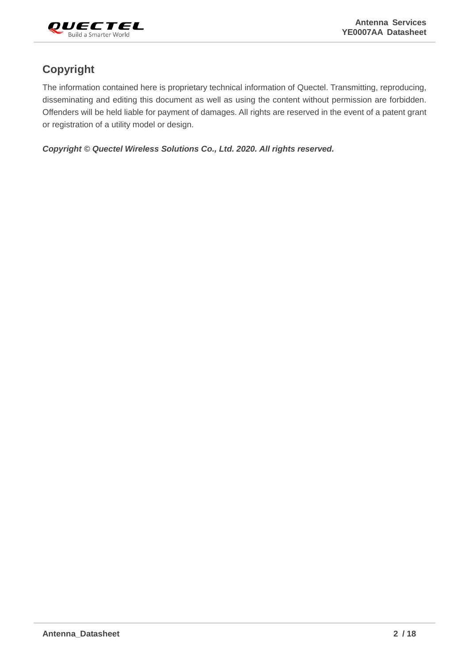

#### **Copyright**

The information contained here is proprietary technical information of Quectel. Transmitting, reproducing, disseminating and editing this document as well as using the content without permission are forbidden. Offenders will be held liable for payment of damages. All rights are reserved in the event of a patent grant or registration of a utility model or design.

*Copyright © Quectel Wireless Solutions Co., Ltd. 2020. All rights reserved.*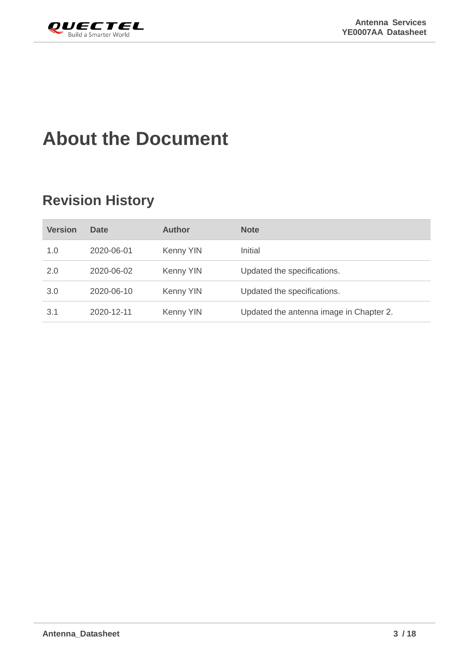<span id="page-3-0"></span>

## **About the Document**

## **Revision History**

| <b>Version</b> | <b>Date</b> | <b>Author</b>    | <b>Note</b>                             |
|----------------|-------------|------------------|-----------------------------------------|
| 1.0            | 2020-06-01  | Kenny YIN        | Initial                                 |
| 2.0            | 2020-06-02  | Kenny YIN        | Updated the specifications.             |
| 3.0            | 2020-06-10  | <b>Kenny YIN</b> | Updated the specifications.             |
| 3.1            | 2020-12-11  | Kenny YIN        | Updated the antenna image in Chapter 2. |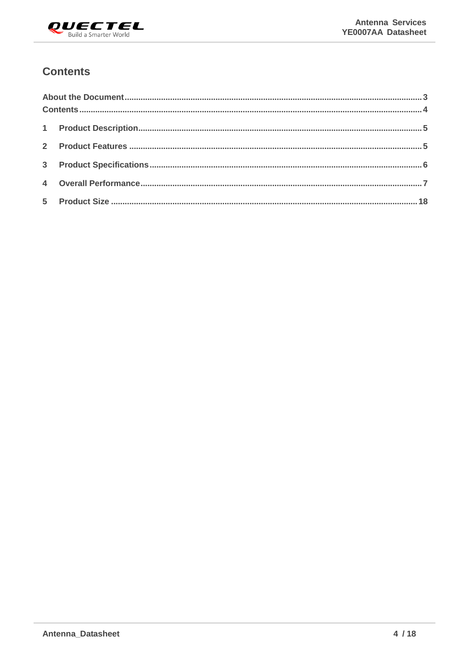

#### <span id="page-4-0"></span>**Contents**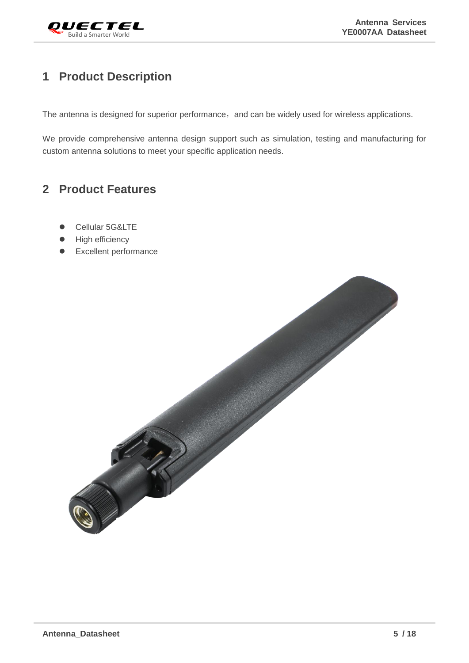

#### <span id="page-5-0"></span>**1 Product Description**

The antenna is designed for superior performance, and can be widely used for wireless applications.

We provide comprehensive antenna design support such as simulation, testing and manufacturing for custom antenna solutions to meet your specific application needs.

#### <span id="page-5-1"></span>**2 Product Features**

- Cellular 5G&LTE
- High efficiency
- ⚫ Excellent performance

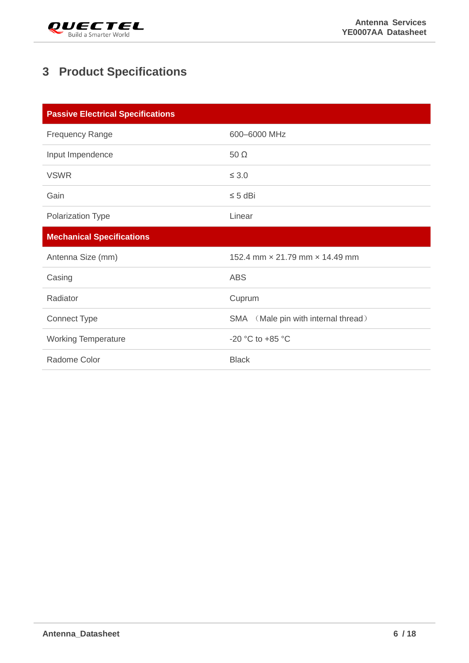

### <span id="page-6-0"></span>**3 Product Specifications**

| <b>Passive Electrical Specifications</b> |                                     |  |  |  |  |  |
|------------------------------------------|-------------------------------------|--|--|--|--|--|
| <b>Frequency Range</b>                   | 600-6000 MHz                        |  |  |  |  |  |
| Input Impendence                         | $50 \Omega$                         |  |  |  |  |  |
| <b>VSWR</b>                              | $\leq 3.0$                          |  |  |  |  |  |
| Gain                                     | $\leq$ 5 dBi                        |  |  |  |  |  |
| Polarization Type                        | Linear                              |  |  |  |  |  |
| <b>Mechanical Specifications</b>         |                                     |  |  |  |  |  |
| Antenna Size (mm)                        | 152.4 mm × 21.79 mm × 14.49 mm      |  |  |  |  |  |
| Casing                                   | <b>ABS</b>                          |  |  |  |  |  |
| Radiator                                 | Cuprum                              |  |  |  |  |  |
| <b>Connect Type</b>                      | SMA (Male pin with internal thread) |  |  |  |  |  |
| <b>Working Temperature</b>               | -20 °C to +85 °C                    |  |  |  |  |  |
|                                          |                                     |  |  |  |  |  |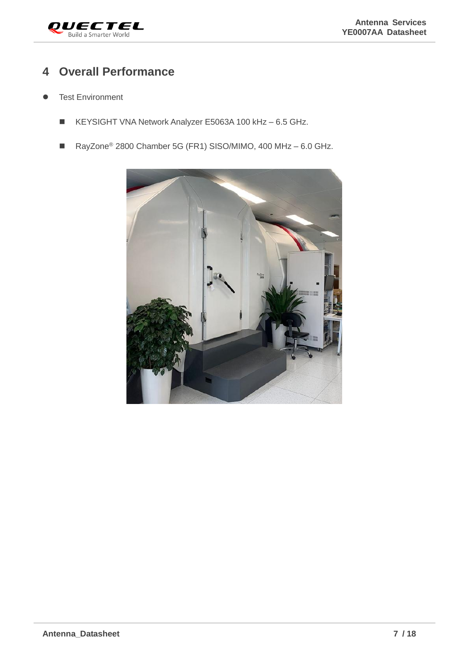

#### <span id="page-7-0"></span>**4 Overall Performance**

- Test Environment
	- KEYSIGHT VNA Network Analyzer E5063A 100 kHz 6.5 GHz.
	- RayZone<sup>®</sup> 2800 Chamber 5G (FR1) SISO/MIMO, 400 MHz 6.0 GHz.

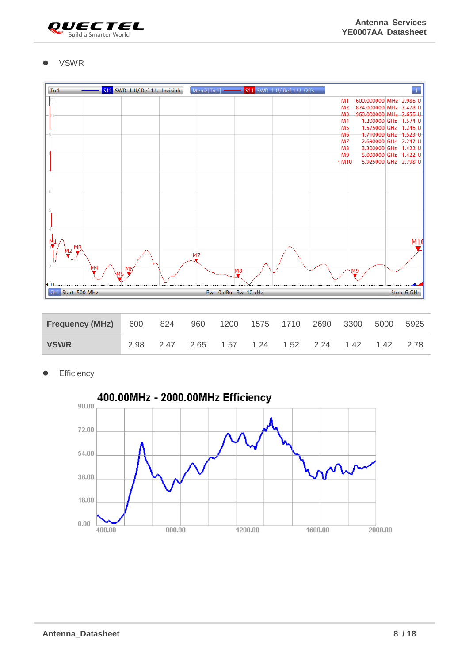

#### ⚫ VSWR



| Frequency (MHz) 600 824 960 1200 1575 1710 2690 3300 5000 5925 |  |                                                   |  |  |  |
|----------------------------------------------------------------|--|---------------------------------------------------|--|--|--|
| <b>VSWR</b>                                                    |  | 2.98 2.47 2.65 1.57 1.24 1.52 2.24 1.42 1.42 2.78 |  |  |  |

**Efficiency** 

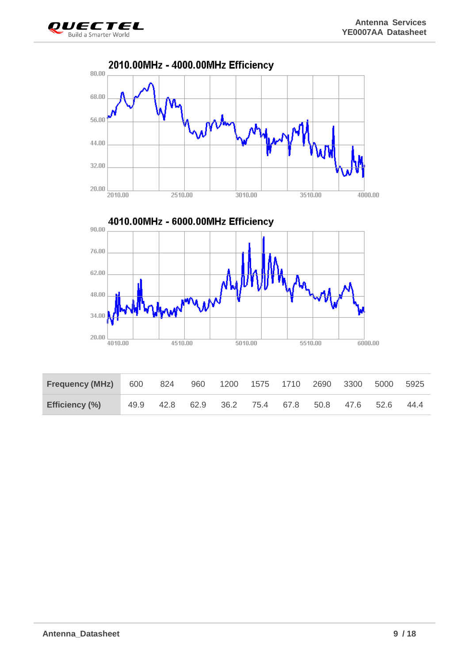

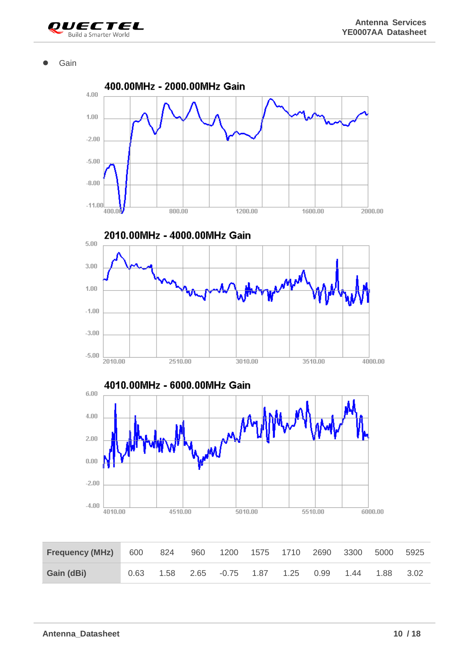

⚫ Gain

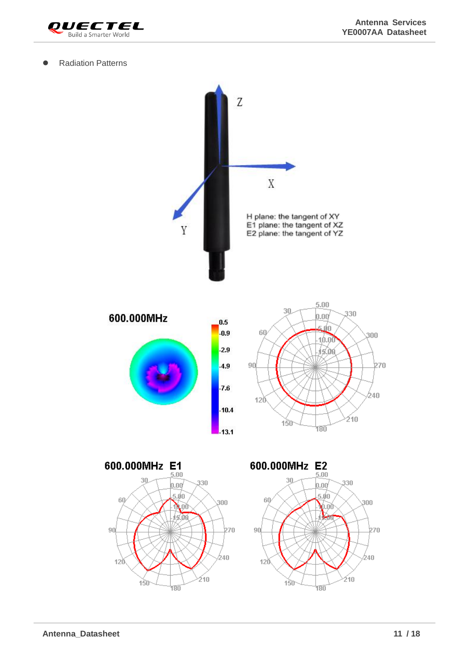

● Radiation Patterns

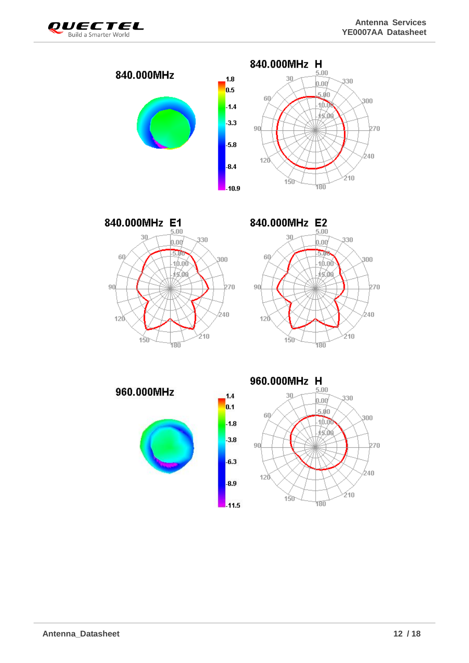



 $1.4$ 

 $0.1$ 







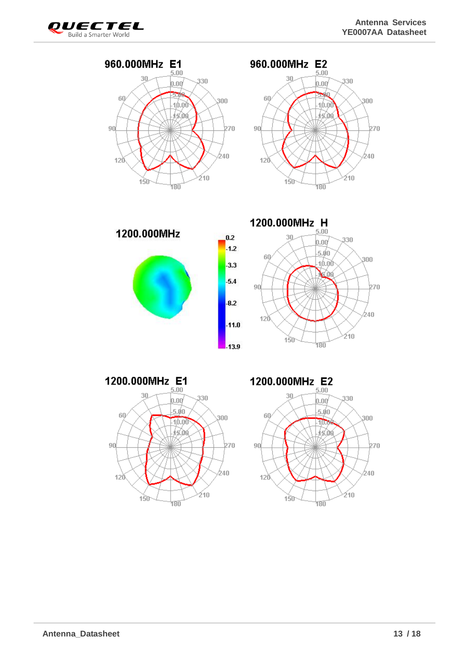





1200.000MHz





1200.000MHz E1  $5.00$ 30 330  $0.00^\prime$  $5.00$  $60<sub>2</sub>$ 300  $-10.00$ 15.06  $90$ 270 240  $120$ 210  $150$ 180

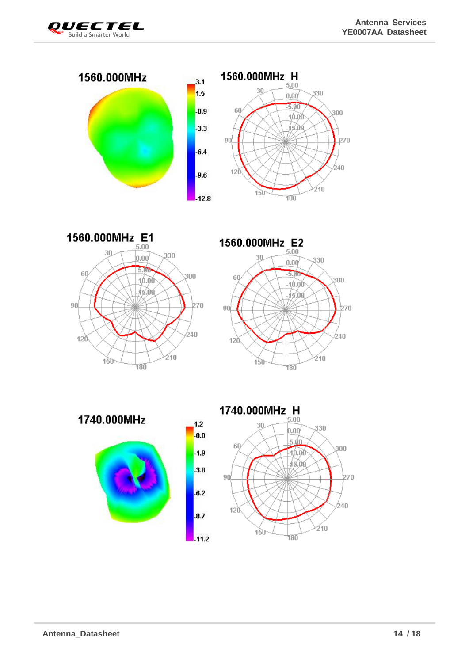









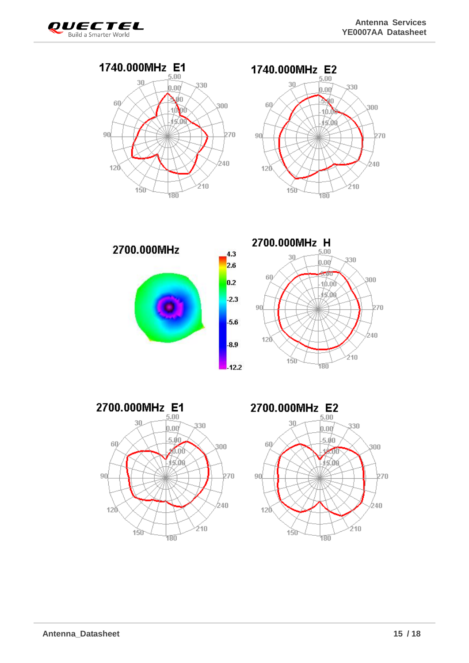













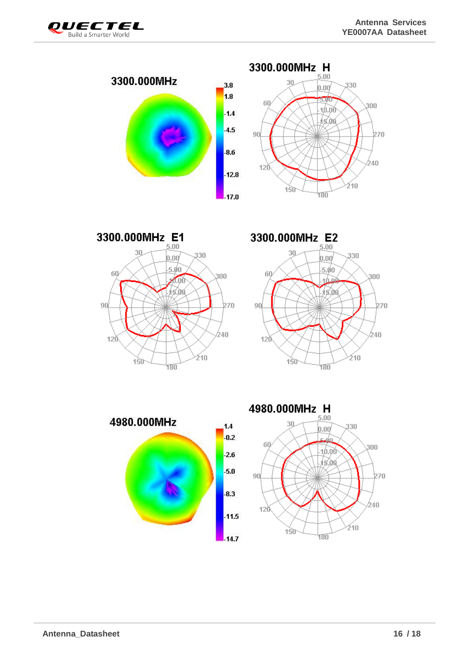







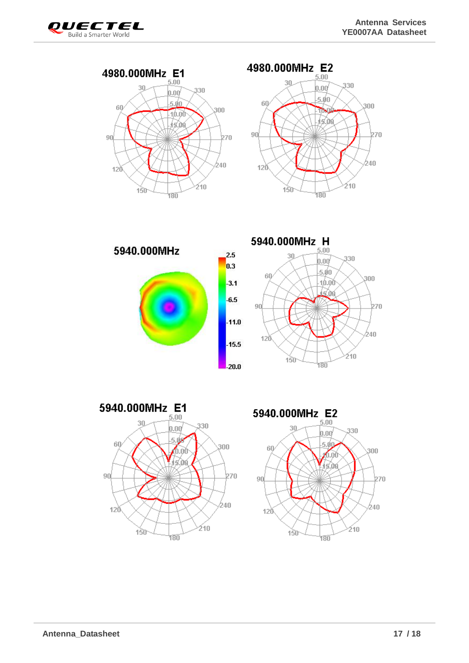











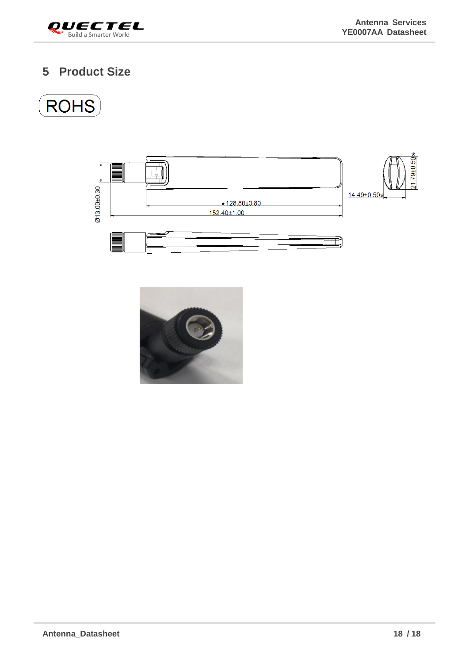

#### <span id="page-18-0"></span>**5 Product Size**